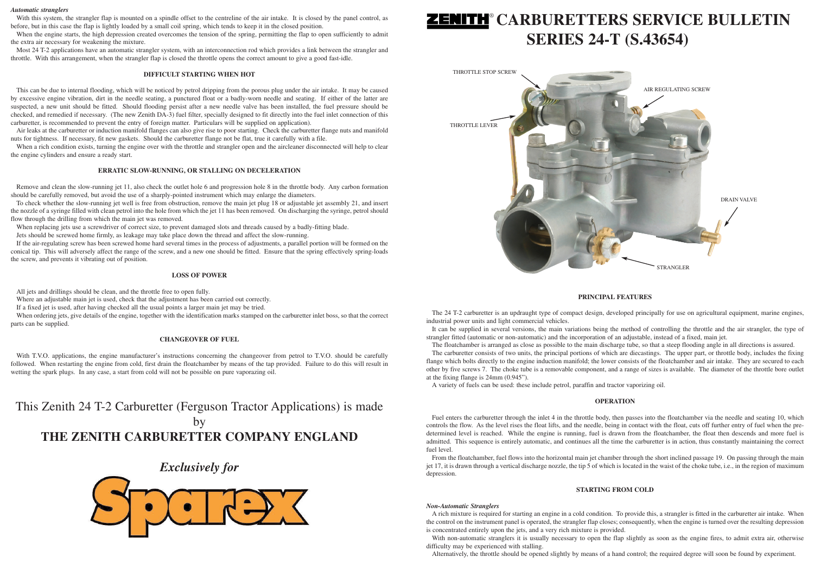### **PRINCIPAL FEATURES**

The 24 T-2 carburetter is an updraught type of compact design, developed principally for use on agricultural equipment, marine engines, industrial power units and light commercial vehicles.

It can be supplied in several versions, the main variations being the method of controlling the throttle and the air strangler, the type of strangler fitted (automatic or non-automatic) and the incorporation of an adjustable, instead of a fixed, main jet. The floatchamber is arranged as close as possible to the main discharge tube, so that a steep flooding angle in all directions is assured.

The carburetter consists of two units, the principal portions of which are diecastings. The upper part, or throttle body, includes the fixing flange which bolts directly to the engine induction manifold; the lower consists of the floatchamber and air intake. They are secured to each other by five screws 7. The choke tube is a removable component, and a range of sizes is available. The diameter of the throttle bore outlet at the fixing flange is 24mm (0.945").

A variety of fuels can be used: these include petrol, paraffin and tractor vaporizing oil.

### **OPERATION**

Fuel enters the carburetter through the inlet 4 in the throttle body, then passes into the floatchamber via the needle and seating 10, which controls the flow. As the level rises the float lifts, and the needle, being in contact with the float, cuts off further entry of fuel when the predetermined level is reached. While the engine is running, fuel is drawn from the floatchamber, the float then descends and more fuel is admitted. This sequence is entirely automatic, and continues all the time the carburetter is in action, thus constantly maintaining the correct fuel level.

When the engine starts, the high depression created overcomes the tension of the spring, permitting the flap to open sufficiently to admit the extra air necessary for weakening the mixture.

> From the floatchamber, fuel flows into the horizontal main jet chamber through the short inclined passage 19. On passing through the main jet 17, it is drawn through a vertical discharge nozzle, the tip 5 of which is located in the waist of the choke tube, i.e., in the region of maximum depression.

### **STARTING FROM COLD**

#### *Non-Automatic Stranglers*

A rich mixture is required for starting an engine in a cold condition. To provide this, a strangler is fitted in the carburetter air intake. When the control on the instrument panel is operated, the strangler flap closes; consequently, when the engine is turned over the resulting depression is concentrated entirely upon the jets, and a very rich mixture is provided.

When a rich condition exists, turning the engine over with the throttle and strangler open and the aircleaner disconnected will help to clear the engine cylinders and ensure a ready start.

> With non-automatic stranglers it is usually necessary to open the flap slightly as soon as the engine fires, to admit extra air, otherwise difficulty may be experienced with stalling.

Alternatively, the throttle should be opened slightly by means of a hand control; the required degree will soon be found by experiment.

#### *Automatic stranglers*

With this system, the strangler flap is mounted on a spindle offset to the centreline of the air intake. It is closed by the panel control, as before, but in this case the flap is lightly loaded by a small coil spring, which tends to keep it in the closed position.

With T.V.O. applications, the engine manufacturer's instructions concerning the changeover from petrol to T.V.O. should be carefully followed. When restarting the engine from cold, first drain the floatchamber by means of the tap provided. Failure to do this will result in wetting the spark plugs. In any case, a start from cold will not be possible on pure vaporazing oil.

Most 24 T-2 applications have an automatic strangler system, with an interconnection rod which provides a link between the strangler and throttle. With this arrangement, when the strangler flap is closed the throttle opens the correct amount to give a good fast-idle.

# **ZENITH**® CARBURETTERS SERVICE BULLETIN **SERIES 24-T (S.43654)**

#### **DIFFICULT STARTING WHEN HOT**

This can be due to internal flooding, which will be noticed by petrol dripping from the porous plug under the air intake. It may be caused by excessive engine vibration, dirt in the needle seating, a punctured float or a badly-worn needle and seating. If either of the latter are suspected, a new unit should be fitted. Should flooding persist after a new needle valve has been installed, the fuel pressure should be checked, and remedied if necessary. (The new Zenith DA-3) fuel filter, specially designed to fit directly into the fuel inlet connection of this carburetter, is recommended to prevent the entry of foreign matter. Particulars will be supplied on application).

Air leaks at the carburetter or induction manifold flanges can also give rise to poor starting. Check the carburetter flange nuts and manifold nuts for tightness. If necessary, fit new gaskets. Should the carburetter flange not be flat, true it carefully with a file.

#### **ERRATIC SLOW-RUNNING, OR STALLING ON DECELERATION**

Remove and clean the slow-running jet 11, also check the outlet hole 6 and progression hole 8 in the throttle body. Any carbon formation should be carefully removed, but avoid the use of a sharply-pointed instrument which may enlarge the diameters.

To check whether the slow-running jet well is free from obstruction, remove the main jet plug 18 or adjustable jet assembly 21, and insert the nozzle of a syringe filled with clean petrol into the hole from which the jet 11 has been removed. On discharging the syringe, petrol should flow through the drilling from which the main jet was removed.

When replacing jets use a screwdriver of correct size, to prevent damaged slots and threads caused by a badly-fitting blade.

Jets should be screwed home firmly, as leakage may take place down the thread and affect the slow-running.

If the air-regulating screw has been screwed home hard several times in the process of adjustments, a parallel portion will be formed on the conical tip. This will adversely affect the range of the screw, and a new one should be fitted. Ensure that the spring effectively spring-loads the screw, and prevents it vibrating out of position.

### **LOSS OF POWER**

All jets and drillings should be clean, and the throttle free to open fully.

Where an adjustable main jet is used, check that the adjustment has been carried out correctly.

If a fixed jet is used, after having checked all the usual points a larger main jet may be tried.

When ordering jets, give details of the engine, together with the identification marks stamped on the carburetter inlet boss, so that the correct parts can be supplied.

#### **CHANGEOVER OF FUEL**

This Zenith 24 T-2 Carburetter (Ferguson Tractor Applications) is made by **THE ZENITH CARBURETTER COMPANY ENGLAND**

## *Exclusively for*